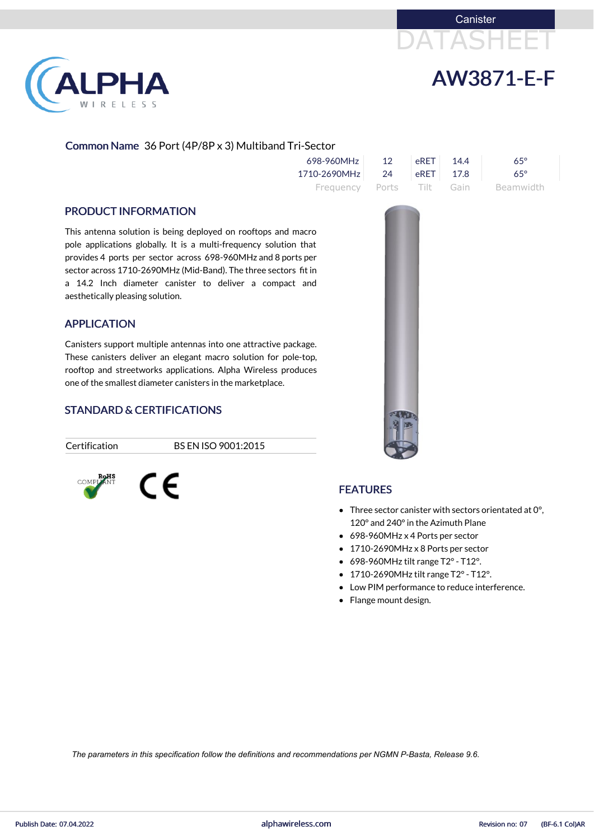



# LPHA RELESS

### Common Name 36 Port (4P/8P x 3) Multiband Tri-Sector

| 698-960MHz                | 12 <sup>°</sup> | ⊩eRET ∣ | 144 | 65°        |
|---------------------------|-----------------|---------|-----|------------|
| 1710-2690MHz 24 eRET 17.8 |                 |         |     | $65^\circ$ |
| Frequency Ports Tilt Gain |                 |         |     | Beamwidth  |

#### PRODUCT INFORMATION

This antenna solution is being deployed on rooftops and macro pole applications globally. It is a multi-frequency solution that provides 4 ports per sector across 698-960MHz and 8 ports per sector across 1710-2690MHz (Mid-Band). The three sectors fit in a 14.2 Inch diameter canister to deliver a compact and aesthetically pleasing solution.

### APPLICATION

Canisters support multiple antennas into one attractive package. These canisters deliver an elegant macro solution for pole-top, rooftop and streetworks applications. Alpha Wireless produces one of the smallest diameter canisters in the marketplace.

### STANDARD & CERTIFICATIONS

CE

Certification BS EN ISO 9001:2015



#### FEATURES

- Three sector canister with sectors orientated at 0°, 120° and 240°in the Azimuth Plane
- 698-960MHz x 4 Ports per sector
- 1710-2690MHz x 8 Ports per sector
- $\bullet$  698-960MHz tilt range T2° T12°.
- 1710-2690MHz tilt range T2°- T12°.
- Low PIM performance to reduce interference.
- Flange mount design.

*The parameters in this specification follow the definitions and recommendations per NGMN P-Basta, Release 9.6.*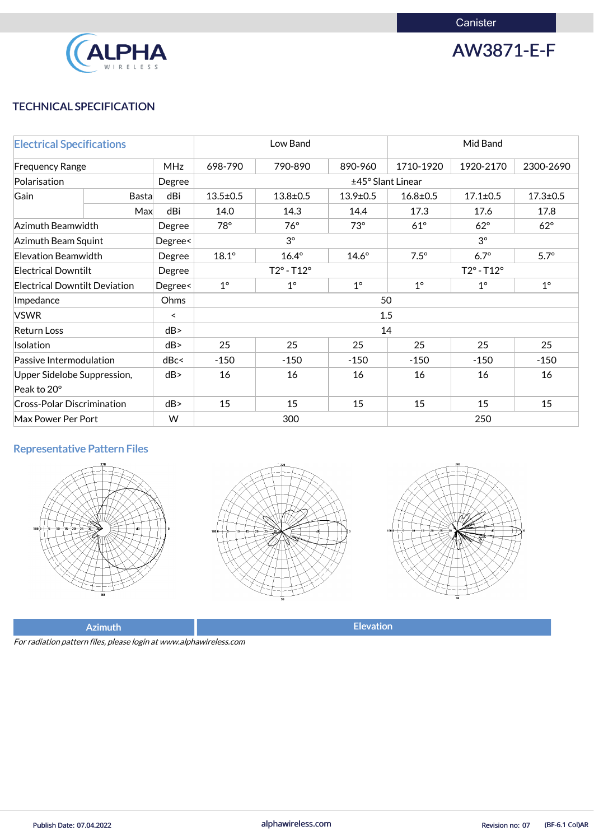

AW3871-E-F

# TECHNICAL SPECIFICATION

| <b>Electrical Specifications</b>     |              |                          | Low Band                   |                   |                | Mid Band                   |                |                |  |
|--------------------------------------|--------------|--------------------------|----------------------------|-------------------|----------------|----------------------------|----------------|----------------|--|
| <b>MHz</b><br><b>Frequency Range</b> |              |                          | 698-790                    | 790-890           | 890-960        | 1710-1920                  | 1920-2170      | 2300-2690      |  |
| Polarisation                         |              | Degree                   |                            | ±45° Slant Linear |                |                            |                |                |  |
| Gain                                 | <b>Basta</b> | dBi                      | $13.5 \pm 0.5$             | $13.8 \pm 0.5$    | $13.9 \pm 0.5$ | $16.8 \pm 0.5$             | $17.1 \pm 0.5$ | $17.3 \pm 0.5$ |  |
|                                      | Max          | dBi                      | 14.0                       | 14.3              | 14.4           | 17.3                       | 17.6           | 17.8           |  |
| Azimuth Beamwidth                    |              | Degree                   | 78°                        | $76^\circ$        | $73^\circ$     | $61^\circ$                 | $62^\circ$     | $62^\circ$     |  |
| <b>Azimuth Beam Squint</b>           |              | Degree<                  |                            | $3^{\circ}$       |                |                            | $3^\circ$      |                |  |
| <b>Elevation Beamwidth</b>           |              | Degree                   | $18.1^\circ$               | $16.4^\circ$      | $14.6^\circ$   | $7.5^\circ$                | $6.7^\circ$    | $5.7^\circ$    |  |
| <b>Electrical Downtilt</b>           |              | Degree                   | $T2^{\circ} - T12^{\circ}$ |                   |                | $T2^{\circ} - T12^{\circ}$ |                |                |  |
| <b>Electrical Downtilt Deviation</b> |              | Degree<                  | $1^{\circ}$                | $1^{\circ}$       | $1^{\circ}$    | $1^{\circ}$                | $1^{\circ}$    | $1^\circ$      |  |
| Impedance                            |              | Ohms                     | 50                         |                   |                |                            |                |                |  |
| <b>VSWR</b>                          |              | $\overline{\phantom{0}}$ |                            |                   |                | 1.5                        |                |                |  |
| <b>Return Loss</b>                   |              | dB                       |                            |                   |                | 14                         |                |                |  |
| Isolation                            |              | dB                       | 25                         | 25                | 25             | 25                         | 25             | 25             |  |
| Passive Intermodulation              |              | dBc<                     | $-150$                     | $-150$            | $-150$         | $-150$                     | $-150$         | $-150$         |  |
| Upper Sidelobe Suppression,          |              | dB                       | 16                         | 16                | 16             | 16                         | 16             | 16             |  |
| Peak to 20°                          |              |                          |                            |                   |                |                            |                |                |  |
| <b>Cross-Polar Discrimination</b>    |              | dB                       | 15                         | 15                | 15             | 15                         | 15             | 15             |  |
| W<br>Max Power Per Port              |              |                          | 300                        |                   |                | 250                        |                |                |  |

# Representative Pattern Files







Azimuth **Elevation** 

For radiation pattern files, please login at www.alphawireless.com

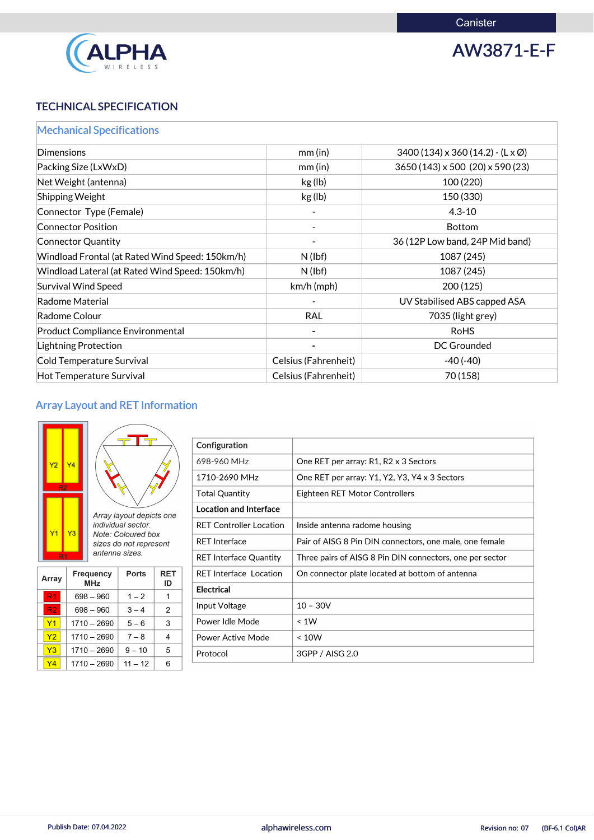

AW3871-E-F

# TECHNICAL SPECIFICATION

|  |  |  | <b>Mechanical Specifications</b> |  |  |
|--|--|--|----------------------------------|--|--|
|  |  |  |                                  |  |  |

| Dimensions                                      | mm(in)               | $3400(134) \times 360(14.2) - (L \times \emptyset)$ |
|-------------------------------------------------|----------------------|-----------------------------------------------------|
| Packing Size (LxWxD)                            | mm(in)               | 3650 (143) x 500 (20) x 590 (23)                    |
| Net Weight (antenna)                            | kg (lb)              | 100 (220)                                           |
| <b>Shipping Weight</b>                          | kg (lb)              | 150 (330)                                           |
| Connector Type (Female)                         |                      | $4.3 - 10$                                          |
| <b>Connector Position</b>                       |                      | <b>Bottom</b>                                       |
| <b>Connector Quantity</b>                       |                      | 36 (12P Low band, 24P Mid band)                     |
| Windload Frontal (at Rated Wind Speed: 150km/h) | $N$ (lbf)            | 1087 (245)                                          |
| Windload Lateral (at Rated Wind Speed: 150km/h) | $N$ (lbf)            | 1087 (245)                                          |
| <b>Survival Wind Speed</b>                      | km/h (mph)           | 200(125)                                            |
| Radome Material                                 |                      | UV Stabilised ABS capped ASA                        |
| Radome Colour                                   | <b>RAL</b>           | 7035 (light grey)                                   |
| <b>Product Compliance Environmental</b>         |                      | <b>RoHS</b>                                         |
| Lightning Protection                            |                      | <b>DC Grounded</b>                                  |
| Cold Temperature Survival                       | Celsius (Fahrenheit) | $-40(-40)$                                          |
| <b>Hot Temperature Survival</b>                 | Celsius (Fahrenheit) | 70 (158)                                            |

# Array Layout and RET Information

| $\overline{Y2}$<br>R <sub>2</sub>          | Ϋ4              |                         |                                                                                                                  |                  |
|--------------------------------------------|-----------------|-------------------------|------------------------------------------------------------------------------------------------------------------|------------------|
| $\mathsf{Y}1$<br>$\overline{\mathsf{R}}$ 1 | $\overline{Y3}$ |                         | Array layout depicts one<br>individual sector.<br>Note: Coloured box<br>sizes do not represent<br>antenna sizes. |                  |
| <b>Array</b>                               |                 | <b>Frequency</b><br>MHz | <b>Ports</b>                                                                                                     | <b>RET</b><br>ID |
|                                            |                 | 698 – 960               | 1 – 2                                                                                                            |                  |

| Configuration                  |                                                          |
|--------------------------------|----------------------------------------------------------|
| 698-960 MHz                    | One RET per array: R1, R2 x 3 Sectors                    |
| 1710-2690 MHz                  | One RET per array: Y1, Y2, Y3, Y4 x 3 Sectors            |
| <b>Total Quantity</b>          | Eighteen RET Motor Controllers                           |
| <b>Location and Interface</b>  |                                                          |
| <b>RET Controller Location</b> | Inside antenna radome housing                            |
| <b>RET Interface</b>           | Pair of AISG 8 Pin DIN connectors, one male, one female  |
| <b>RET Interface Quantity</b>  | Three pairs of AISG 8 Pin DIN connectors, one per sector |
| <b>RET Interface Location</b>  | On connector plate located at bottom of antenna          |
| <b>Electrical</b>              |                                                          |
| Input Voltage                  | $10 - 30V$                                               |
| Power Idle Mode                | $\leq 1W$                                                |
| <b>Power Active Mode</b>       | ~< 10W                                                   |
| Protocol                       | 3GPP / AISG 2.0                                          |

|  | 1710 – 2690             |  |  |
|--|-------------------------|--|--|
|  | $1710 - 2690$   9 - 10  |  |  |
|  | $1710 - 2690$   11 - 12 |  |  |

 $3 - 4$ 

 $5-6$ 

 $\overline{2}$ 

 $\mathbf{3}$ 

 $698 - 960$ 

 $1710 - 2690$ 

 $R2$ 

 $|Y1|$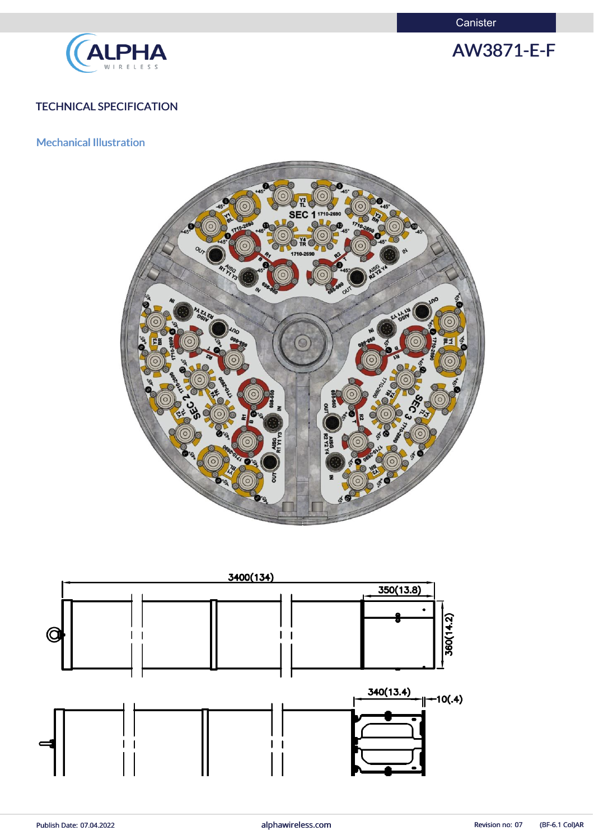**Canister** 



AW3871-E-F

# TECHNICAL SPECIFICATION

## Mechanical Illustration